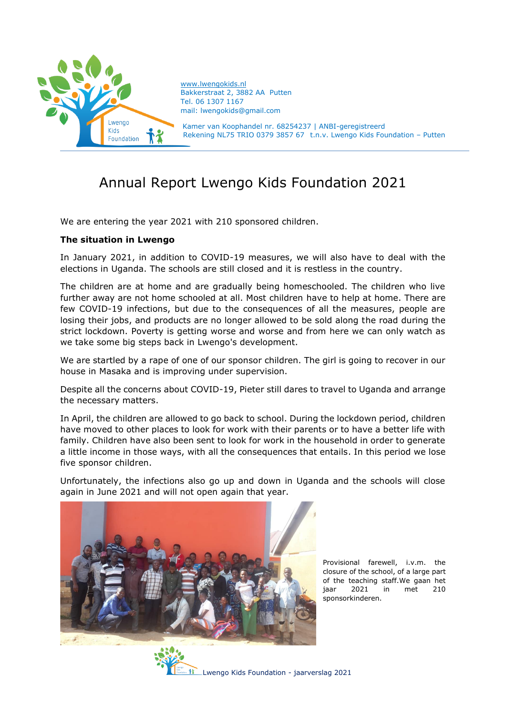

[www.lwengokids.nl](http://www.lwengokids.nl/) Bakkerstraat 2, 3882 AA Putten Tel. 06 1307 1167 mail: lwengokids@gmail.com

Kamer van Koophandel nr. 68254237 | ANBI-geregistreerd Rekening NL75 TRIO 0379 3857 67 t.n.v. Lwengo Kids Foundation – Putten

# Annual Report Lwengo Kids Foundation 2021

We are entering the year 2021 with 210 sponsored children.

## **The situation in Lwengo**

In January 2021, in addition to COVID-19 measures, we will also have to deal with the elections in Uganda. The schools are still closed and it is restless in the country.

The children are at home and are gradually being homeschooled. The children who live further away are not home schooled at all. Most children have to help at home. There are few COVID-19 infections, but due to the consequences of all the measures, people are losing their jobs, and products are no longer allowed to be sold along the road during the strict lockdown. Poverty is getting worse and worse and from here we can only watch as we take some big steps back in Lwengo's development.

We are startled by a rape of one of our sponsor children. The girl is going to recover in our house in Masaka and is improving under supervision.

Despite all the concerns about COVID-19, Pieter still dares to travel to Uganda and arrange the necessary matters.

In April, the children are allowed to go back to school. During the lockdown period, children have moved to other places to look for work with their parents or to have a better life with family. Children have also been sent to look for work in the household in order to generate a little income in those ways, with all the consequences that entails. In this period we lose five sponsor children.

Unfortunately, the infections also go up and down in Uganda and the schools will close again in June 2021 and will not open again that year.



Provisional farewell, i.v.m. the closure of the school, of a large part of the teaching staff.We gaan het jaar 2021 in met 210 sponsorkinderen.

Lwengo Kids Foundation - jaarverslag 2021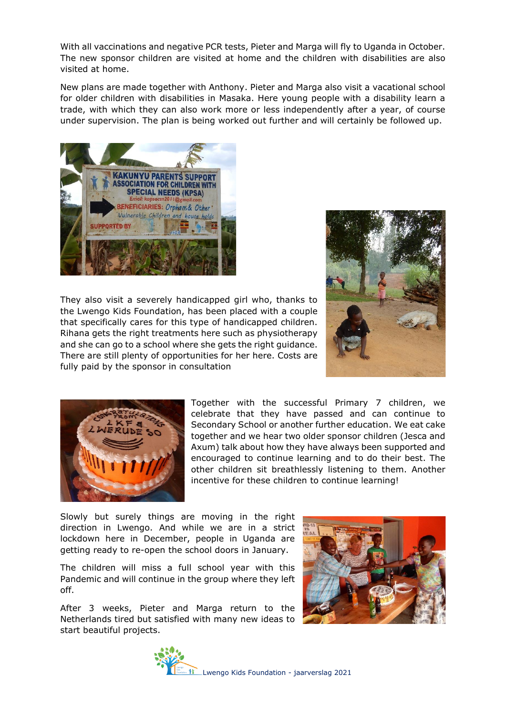With all vaccinations and negative PCR tests, Pieter and Marga will fly to Uganda in October. The new sponsor children are visited at home and the children with disabilities are also visited at home.

New plans are made together with Anthony. Pieter and Marga also visit a vacational school for older children with disabilities in Masaka. Here young people with a disability learn a trade, with which they can also work more or less independently after a year, of course under supervision. The plan is being worked out further and will certainly be followed up.



They also visit a severely handicapped girl who, thanks to the Lwengo Kids Foundation, has been placed with a couple that specifically cares for this type of handicapped children. Rihana gets the right treatments here such as physiotherapy and she can go to a school where she gets the right guidance. There are still plenty of opportunities for her here. Costs are fully paid by the sponsor in consultation





Together with the successful Primary 7 children, we celebrate that they have passed and can continue to Secondary School or another further education. We eat cake together and we hear two older sponsor children (Jesca and Axum) talk about how they have always been supported and encouraged to continue learning and to do their best. The other children sit breathlessly listening to them. Another incentive for these children to continue learning!

Slowly but surely things are moving in the right direction in Lwengo. And while we are in a strict lockdown here in December, people in Uganda are getting ready to re-open the school doors in January.

The children will miss a full school year with this Pandemic and will continue in the group where they left off.

After 3 weeks, Pieter and Marga return to the Netherlands tired but satisfied with many new ideas to start beautiful projects.



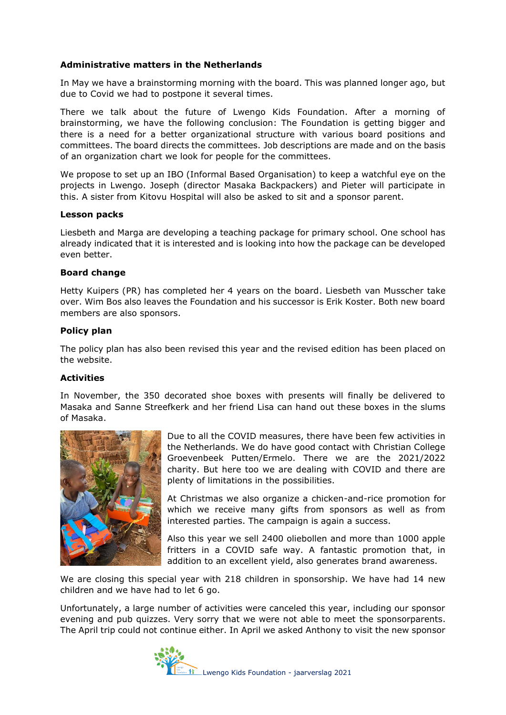## **Administrative matters in the Netherlands**

In May we have a brainstorming morning with the board. This was planned longer ago, but due to Covid we had to postpone it several times.

There we talk about the future of Lwengo Kids Foundation. After a morning of brainstorming, we have the following conclusion: The Foundation is getting bigger and there is a need for a better organizational structure with various board positions and committees. The board directs the committees. Job descriptions are made and on the basis of an organization chart we look for people for the committees.

We propose to set up an IBO (Informal Based Organisation) to keep a watchful eye on the projects in Lwengo. Joseph (director Masaka Backpackers) and Pieter will participate in this. A sister from Kitovu Hospital will also be asked to sit and a sponsor parent.

#### **Lesson packs**

Liesbeth and Marga are developing a teaching package for primary school. One school has already indicated that it is interested and is looking into how the package can be developed even better.

#### **Board change**

Hetty Kuipers (PR) has completed her 4 years on the board. Liesbeth van Musscher take over. Wim Bos also leaves the Foundation and his successor is Erik Koster. Both new board members are also sponsors.

#### **Policy plan**

The policy plan has also been revised this year and the revised edition has been placed on the website.

#### **Activities**

In November, the 350 decorated shoe boxes with presents will finally be delivered to Masaka and Sanne Streefkerk and her friend Lisa can hand out these boxes in the slums of Masaka.



Due to all the COVID measures, there have been few activities in the Netherlands. We do have good contact with Christian College Groevenbeek Putten/Ermelo. There we are the 2021/2022 charity. But here too we are dealing with COVID and there are plenty of limitations in the possibilities.

At Christmas we also organize a chicken-and-rice promotion for which we receive many gifts from sponsors as well as from interested parties. The campaign is again a success.

Also this year we sell 2400 oliebollen and more than 1000 apple fritters in a COVID safe way. A fantastic promotion that, in addition to an excellent yield, also generates brand awareness.

We are closing this special year with 218 children in sponsorship. We have had 14 new children and we have had to let 6 go.

Unfortunately, a large number of activities were canceled this year, including our sponsor evening and pub quizzes. Very sorry that we were not able to meet the sponsorparents. The April trip could not continue either. In April we asked Anthony to visit the new sponsor